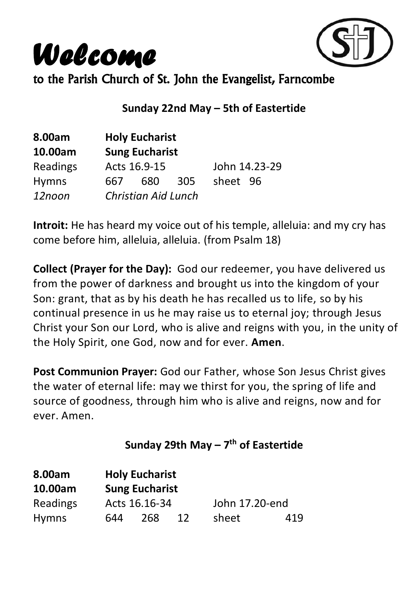*Welcome*



to the Parish Church of St. John the Evangelist, Farncombe

#### **Sunday 22nd May – 5th of Eastertide**

| 8.00am       | <b>Holy Eucharist</b> |                            |     |               |  |  |
|--------------|-----------------------|----------------------------|-----|---------------|--|--|
| 10.00am      | <b>Sung Eucharist</b> |                            |     |               |  |  |
| Readings     |                       | Acts 16.9-15               |     | John 14.23-29 |  |  |
| <b>Hymns</b> | 667                   | 680                        | 305 | sheet 96      |  |  |
| 12noon       |                       | <b>Christian Aid Lunch</b> |     |               |  |  |

**Introit:** He has heard my voice out of his temple, alleluia: and my cry has come before him, alleluia, alleluia. (from Psalm 18)

**Collect (Prayer for the Day):** God our redeemer, you have delivered us from the power of darkness and brought us into the kingdom of your Son: grant, that as by his death he has recalled us to life, so by his continual presence in us he may raise us to eternal joy; through Jesus Christ your Son our Lord, who is alive and reigns with you, in the unity of the Holy Spirit, one God, now and for ever. **Amen**.

**Post Communion Prayer:** God our Father, whose Son Jesus Christ gives the water of eternal life: may we thirst for you, the spring of life and source of goodness, through him who is alive and reigns, now and for ever. Amen.

### **Sunday 29th May – 7 th of Eastertide**

| 8.00am       |     | <b>Holy Eucharist</b> |    |                |     |
|--------------|-----|-----------------------|----|----------------|-----|
| 10.00am      |     | <b>Sung Eucharist</b> |    |                |     |
| Readings     |     | Acts 16.16-34         |    | John 17.20-end |     |
| <b>Hymns</b> | 644 | 268                   | 12 | sheet          | 419 |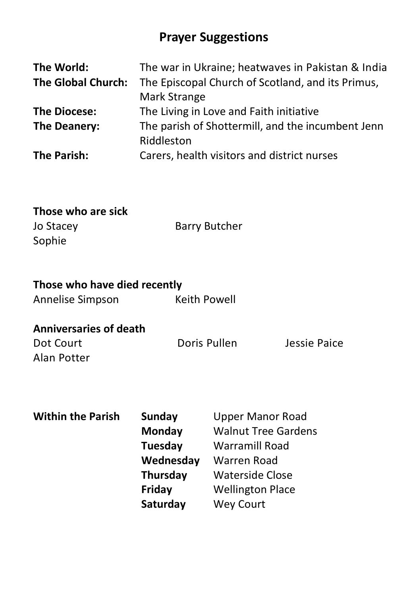## **Prayer Suggestions**

| The World:                | The war in Ukraine; heatwaves in Pakistan & India |
|---------------------------|---------------------------------------------------|
| <b>The Global Church:</b> | The Episcopal Church of Scotland, and its Primus, |
|                           | Mark Strange                                      |
| <b>The Diocese:</b>       | The Living in Love and Faith initiative           |
| The Deanery:              | The parish of Shottermill, and the incumbent Jenn |
|                           | Riddleston                                        |
| The Parish:               | Carers, health visitors and district nurses       |

# **Those who are sick**

Sophie

Jo Stacey **Barry Butcher** 

## **Those who have died recently**

| Annelise Simpson | Keith Powell |
|------------------|--------------|
|------------------|--------------|

#### **Anniversaries of death**

Dot Court Doris Pullen Jessie Paice Alan Potter

## **Within the Parish Sunday**  Upper Manor Road **Monday** Walnut Tree Gardens **Tuesday** Warramill Road **Wednesday** Warren Road **Thursday** Waterside Close **Friday** Wellington Place **Saturday** Wey Court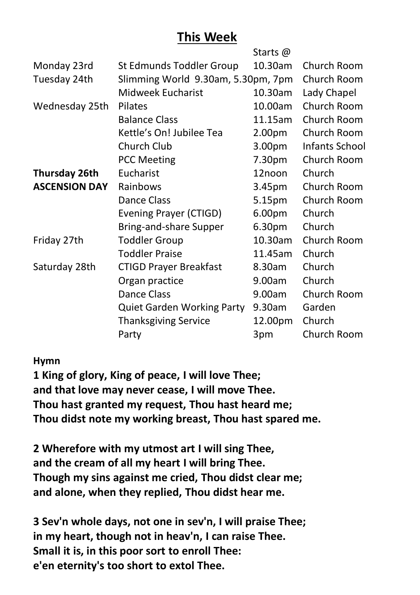## **This Week**

|                      |                                    | Starts @           |                |
|----------------------|------------------------------------|--------------------|----------------|
| Monday 23rd          | St Edmunds Toddler Group           | 10.30am            | Church Room    |
| Tuesday 24th         | Slimming World 9.30am, 5.30pm, 7pm | Church Room        |                |
|                      | Midweek Eucharist                  | 10.30am            | Lady Chapel    |
| Wednesday 25th       | <b>Pilates</b>                     | 10.00am            | Church Room    |
|                      | <b>Balance Class</b>               | 11.15am            | Church Room    |
|                      | Kettle's On! Jubilee Tea           | 2.00pm             | Church Room    |
|                      | Church Club                        | 3.00 <sub>pm</sub> | Infants School |
|                      | <b>PCC Meeting</b>                 | 7.30pm             | Church Room    |
| Thursday 26th        | Eucharist                          | 12noon             | Church         |
| <b>ASCENSION DAY</b> | Rainbows                           | 3.45pm             | Church Room    |
|                      | Dance Class                        | 5.15pm             | Church Room    |
|                      | Evening Prayer (CTIGD)             | 6.00pm             | Church         |
|                      | Bring-and-share Supper             | 6.30pm             | Church         |
| Friday 27th          | <b>Toddler Group</b>               | 10.30am            | Church Room    |
|                      | <b>Toddler Praise</b>              | 11.45am            | Church         |
| Saturday 28th        | <b>CTIGD Prayer Breakfast</b>      | 8.30am             | Church         |
|                      | Organ practice                     | 9.00am             | Church         |
|                      | Dance Class                        | 9.00am             | Church Room    |
|                      | <b>Quiet Garden Working Party</b>  | 9.30am             | Garden         |
|                      | <b>Thanksgiving Service</b>        | 12.00pm            | Church         |
|                      | Party                              | 3pm                | Church Room    |

#### **Hymn**

**1 King of glory, King of peace, I will love Thee; and that love may never cease, I will move Thee. Thou hast granted my request, Thou hast heard me; Thou didst note my working breast, Thou hast spared me.**

**2 Wherefore with my utmost art I will sing Thee, and the cream of all my heart I will bring Thee. Though my sins against me cried, Thou didst clear me; and alone, when they replied, Thou didst hear me.**

**3 Sev'n whole days, not one in sev'n, I will praise Thee; in my heart, though not in heav'n, I can raise Thee. Small it is, in this poor sort to enroll Thee: e'en eternity's too short to extol Thee.**